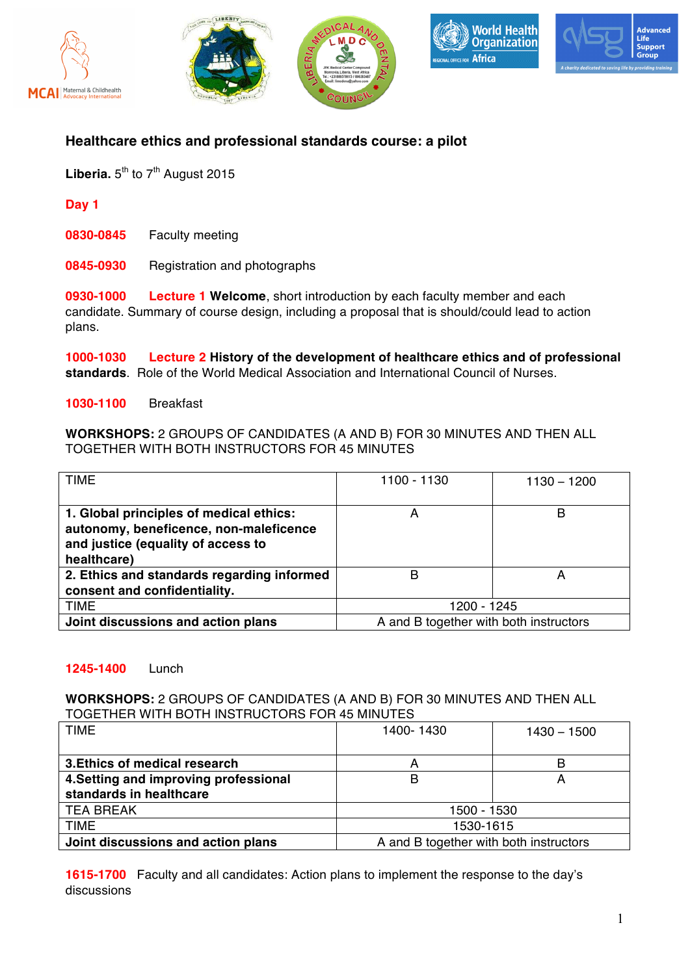









# **Healthcare ethics and professional standards course: a pilot**

Liberia.  $5<sup>th</sup>$  to  $7<sup>th</sup>$  August 2015

**Day 1**

**0830-0845** Faculty meeting

**0845-0930** Registration and photographs

**0930-1000 Lecture 1 Welcome**, short introduction by each faculty member and each candidate. Summary of course design, including a proposal that is should/could lead to action plans.

**1000-1030 Lecture 2 History of the development of healthcare ethics and of professional standards**. Role of the World Medical Association and International Council of Nurses.

**1030-1100** Breakfast

**WORKSHOPS:** 2 GROUPS OF CANDIDATES (A AND B) FOR 30 MINUTES AND THEN ALL TOGETHER WITH BOTH INSTRUCTORS FOR 45 MINUTES

| <b>TIME</b>                                                                                                                            | 1100 - 1130                            | $1130 - 1200$ |
|----------------------------------------------------------------------------------------------------------------------------------------|----------------------------------------|---------------|
| 1. Global principles of medical ethics:<br>autonomy, beneficence, non-maleficence<br>and justice (equality of access to<br>healthcare) | А                                      | в             |
| 2. Ethics and standards regarding informed<br>consent and confidentiality.                                                             | B                                      | A             |
| <b>TIME</b>                                                                                                                            | 1200 - 1245                            |               |
| Joint discussions and action plans                                                                                                     | A and B together with both instructors |               |

### **1245-1400** Lunch

#### **WORKSHOPS:** 2 GROUPS OF CANDIDATES (A AND B) FOR 30 MINUTES AND THEN ALL TOGETHER WITH BOTH INSTRUCTORS FOR 45 MINUTES

| <b>TIME</b>                           | 1400-1430                              | $1430 - 1500$ |
|---------------------------------------|----------------------------------------|---------------|
|                                       |                                        |               |
| 3. Ethics of medical research         | A                                      | B             |
| 4. Setting and improving professional | В                                      | А             |
| standards in healthcare               |                                        |               |
| <b>TEA BREAK</b>                      | 1500 - 1530                            |               |
| <b>TIME</b>                           | 1530-1615                              |               |
| Joint discussions and action plans    | A and B together with both instructors |               |

**1615-1700** Faculty and all candidates: Action plans to implement the response to the day's discussions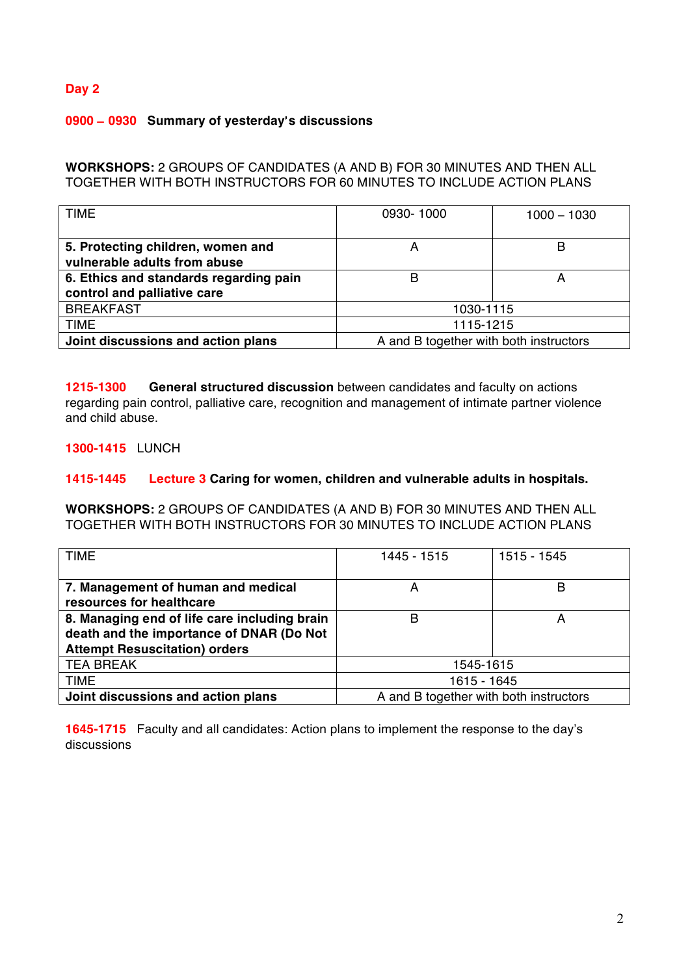## **Day 2**

### **0900** – **0930 Summary of yesterday**'**s discussions**

**WORKSHOPS:** 2 GROUPS OF CANDIDATES (A AND B) FOR 30 MINUTES AND THEN ALL TOGETHER WITH BOTH INSTRUCTORS FOR 60 MINUTES TO INCLUDE ACTION PLANS

| TIME                                                                  | 0930-1000                              | $1000 - 1030$ |
|-----------------------------------------------------------------------|----------------------------------------|---------------|
| 5. Protecting children, women and<br>vulnerable adults from abuse     | Α                                      | B             |
| 6. Ethics and standards regarding pain<br>control and palliative care | B                                      |               |
| <b>BREAKFAST</b>                                                      | 1030-1115                              |               |
| TIME                                                                  | 1115-1215                              |               |
| Joint discussions and action plans                                    | A and B together with both instructors |               |

**1215-1300 General structured discussion** between candidates and faculty on actions regarding pain control, palliative care, recognition and management of intimate partner violence and child abuse.

**1300-1415** LUNCH

#### **1415-1445 Lecture 3 Caring for women, children and vulnerable adults in hospitals.**

**WORKSHOPS:** 2 GROUPS OF CANDIDATES (A AND B) FOR 30 MINUTES AND THEN ALL TOGETHER WITH BOTH INSTRUCTORS FOR 30 MINUTES TO INCLUDE ACTION PLANS

| <b>TIME</b>                                  | 1445 - 1515                            | 1515 - 1545 |
|----------------------------------------------|----------------------------------------|-------------|
|                                              |                                        |             |
| 7. Management of human and medical           | A                                      | в           |
| resources for healthcare                     |                                        |             |
| 8. Managing end of life care including brain | В                                      | А           |
| death and the importance of DNAR (Do Not     |                                        |             |
| <b>Attempt Resuscitation) orders</b>         |                                        |             |
| <b>TEA BREAK</b>                             | 1545-1615                              |             |
| <b>TIME</b>                                  | 1615 - 1645                            |             |
| Joint discussions and action plans           | A and B together with both instructors |             |

**1645-1715** Faculty and all candidates: Action plans to implement the response to the day's discussions